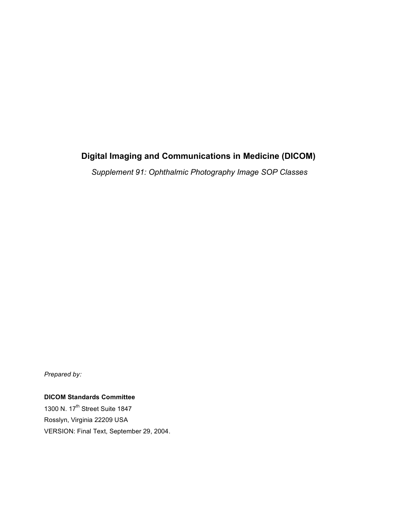# **Digital Imaging and Communications in Medicine (DICOM)**

*Supplement 91: Ophthalmic Photography Image SOP Classes*

*Prepared by:*

**DICOM Standards Committee** 1300 N. 17<sup>th</sup> Street Suite 1847 Rosslyn, Virginia 22209 USA

VERSION: Final Text, September 29, 2004.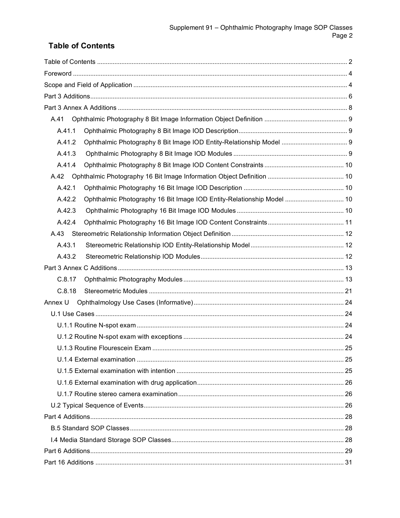# **Table of Contents**

| A.41                                                                            |    |
|---------------------------------------------------------------------------------|----|
| A.41.1                                                                          |    |
| A.41.2                                                                          |    |
| A.41.3                                                                          |    |
| A.41.4                                                                          |    |
| A.42                                                                            |    |
| A.42.1                                                                          |    |
| Ophthalmic Photography 16 Bit Image IOD Entity-Relationship Model  10<br>A.42.2 |    |
| A.42.3                                                                          |    |
| A.42.4                                                                          |    |
|                                                                                 |    |
| A.43.1                                                                          |    |
| A.43.2                                                                          |    |
|                                                                                 |    |
| C.8.17                                                                          |    |
| C.8.18                                                                          |    |
| Annex U                                                                         |    |
|                                                                                 |    |
|                                                                                 |    |
|                                                                                 |    |
| U.1.3 Routine Flourescein Exam.                                                 | 25 |
|                                                                                 |    |
|                                                                                 |    |
|                                                                                 |    |
|                                                                                 |    |
|                                                                                 |    |
|                                                                                 |    |
|                                                                                 |    |
|                                                                                 |    |
|                                                                                 |    |
|                                                                                 |    |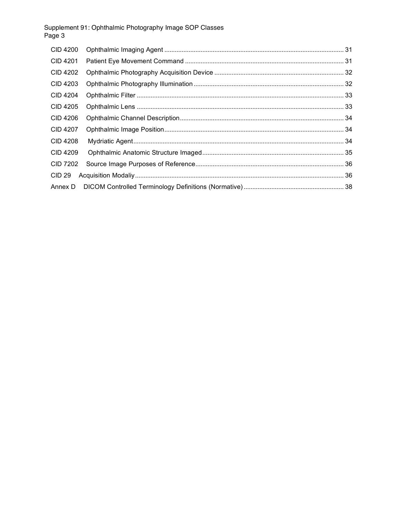| <b>CID 4200</b> |  |
|-----------------|--|
| <b>CID 4201</b> |  |
| <b>CID 4202</b> |  |
| CID 4203        |  |
| CID 4204        |  |
| <b>CID 4205</b> |  |
| <b>CID 4206</b> |  |
| CID 4207        |  |
| CID 4208        |  |
| <b>CID 4209</b> |  |
| <b>CID 7202</b> |  |
| <b>CID 29</b>   |  |
| Annex D         |  |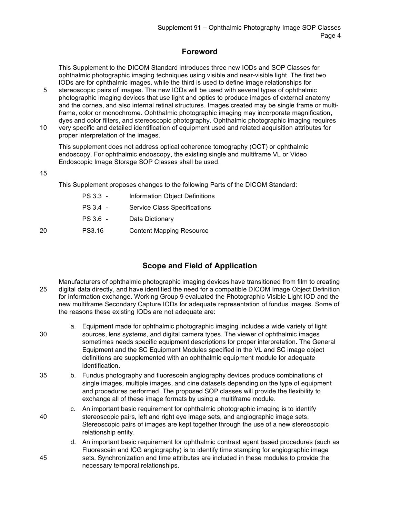### **Foreword**

This Supplement to the DICOM Standard introduces three new IODs and SOP Classes for ophthalmic photographic imaging techniques using visible and near-visible light. The first two IODs are for ophthalmic images, while the third is used to define image relationships for

- 5 stereoscopic pairs of images. The new IODs will be used with several types of ophthalmic photographic imaging devices that use light and optics to produce images of external anatomy and the cornea, and also internal retinal structures. Images created may be single frame or multiframe, color or monochrome. Ophthalmic photographic imaging may incorporate magnification, dyes and color filters, and stereoscopic photography. Ophthalmic photographic imaging requires
- 10 very specific and detailed identification of equipment used and related acquisition attributes for proper interpretation of the images.

This supplement does not address optical coherence tomography (OCT) or ophthalmic endoscopy. For ophthalmic endoscopy, the existing single and multiframe VL or Video Endoscopic Image Storage SOP Classes shall be used.

15

This Supplement proposes changes to the following Parts of the DICOM Standard:

PS 3.3 - Information Object Definitions PS 3.4 - Service Class Specifications PS 3.6 - Data Dictionary 20 PS3.16 Content Mapping Resource

### **Scope and Field of Application**

- Manufacturers of ophthalmic photographic imaging devices have transitioned from film to creating 25 digital data directly, and have identified the need for a compatible DICOM Image Object Definition for information exchange. Working Group 9 evaluated the Photographic Visible Light IOD and the new multiframe Secondary Capture IODs for adequate representation of fundus images. Some of the reasons these existing IODs are not adequate are:
- a. Equipment made for ophthalmic photographic imaging includes a wide variety of light 30 sources, lens systems, and digital camera types. The viewer of ophthalmic images sometimes needs specific equipment descriptions for proper interpretation. The General Equipment and the SC Equipment Modules specified in the VL and SC image object definitions are supplemented with an ophthalmic equipment module for adequate identification.
- 35 b. Fundus photography and fluorescein angiography devices produce combinations of single images, multiple images, and cine datasets depending on the type of equipment and procedures performed. The proposed SOP classes will provide the flexibility to exchange all of these image formats by using a multiframe module.
- c. An important basic requirement for ophthalmic photographic imaging is to identify 40 stereoscopic pairs, left and right eye image sets, and angiographic image sets. Stereoscopic pairs of images are kept together through the use of a new stereoscopic relationship entity.
- d. An important basic requirement for ophthalmic contrast agent based procedures (such as Fluorescein and ICG angiography) is to identify time stamping for angiographic image 45 sets. Synchronization and time attributes are included in these modules to provide the necessary temporal relationships.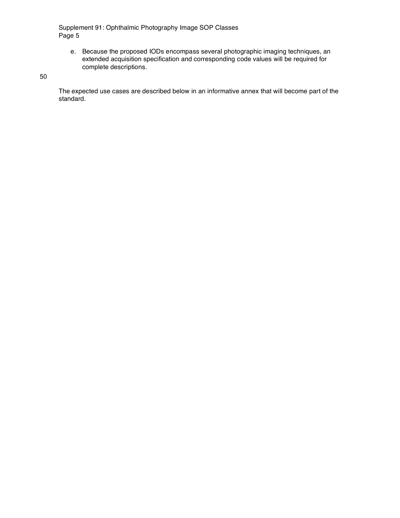e. Because the proposed IODs encompass several photographic imaging techniques, an extended acquisition specification and corresponding code values will be required for complete descriptions.

50

The expected use cases are described below in an informative annex that will become part of the standard.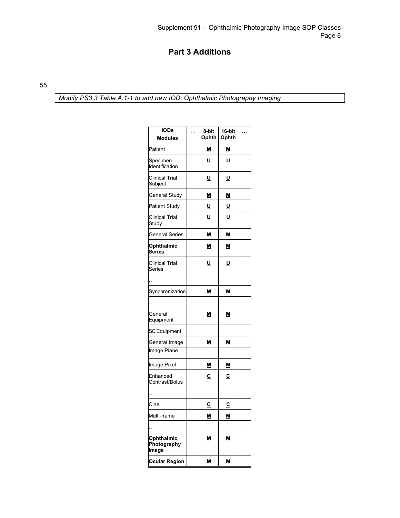## **Part 3 Additions**

55

*Modify PS3.3 Table A.1-1 to add new IOD: Ophthalmic Photography Imaging*

| <b>IODs</b><br><b>Modules</b>      | . | 8-bit<br>Ophth | 16-bit<br>Ophth          | $\overline{\phantom{a}}$ |
|------------------------------------|---|----------------|--------------------------|--------------------------|
| Patient                            |   | <u>М</u>       | M                        |                          |
| Specimen<br>Identification         |   | U              | U                        |                          |
| Clinical Trial<br>Subject          |   | <u>U</u>       | $\underline{\mathsf{u}}$ |                          |
| General Study                      |   | <u>M</u>       | <u>M</u>                 |                          |
| Patient Study                      |   | <u>U</u>       | <u>u</u>                 |                          |
| <b>Clinical Trial</b><br>Study     |   | U              | U                        |                          |
| General Series                     |   | <u>М</u>       | <u>M</u>                 |                          |
| Ophthalmic<br>Series               |   | M              | M                        |                          |
| Clinical Trial<br>Series           |   | U              | U                        |                          |
|                                    |   |                |                          |                          |
| Synchronization                    |   | M              | M                        |                          |
|                                    |   |                |                          |                          |
| General<br>Equipment               |   | M              | <u>М</u>                 |                          |
| <b>SC</b> Equipment                |   |                |                          |                          |
| General Image                      |   | <u>М</u>       | M                        |                          |
| Image Plane                        |   |                |                          |                          |
| Image Pixel                        |   | <u>М</u>       | <u>М</u>                 |                          |
| Enhanced<br>Contrast/Bolus         |   | $\overline{c}$ | $\overline{c}$           |                          |
|                                    |   |                |                          |                          |
| Cine                               |   | $\overline{c}$ | <u>c</u>                 |                          |
| Multi-frame                        |   | M              | M                        |                          |
|                                    |   |                |                          |                          |
| Ophthalmic<br>Photography<br>Image |   | M              | M                        |                          |
| <b>Ocular Region</b>               |   | <u>M</u>       | $\underline{\mathsf{M}}$ |                          |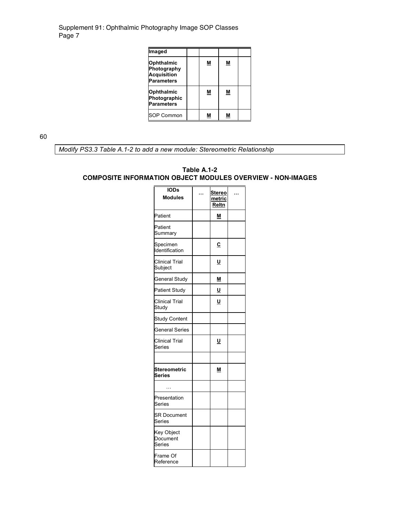| Imaged                                                               |          |   |  |
|----------------------------------------------------------------------|----------|---|--|
| Ophthalmic<br>Photography<br><b>Acquisition</b><br><b>Parameters</b> | <u>м</u> | Μ |  |
| Ophthalmic<br>Photographic<br><b>Parameters</b>                      | М        | Μ |  |
| <b>SOP Common</b>                                                    | м        | М |  |

60

*Modify PS3.3 Table A.1-2 to add a new module: Stereometric Relationship*

#### **Table A.1-2 COMPOSITE INFORMATION OBJECT MODULES OVERVIEW - NON-IMAGES**

| <b>IODs</b><br><b>Modules</b>    | Stereo<br>metric<br>Reltn |  |
|----------------------------------|---------------------------|--|
| Patient                          | Μ                         |  |
| Patient<br>Summary               |                           |  |
| Specimen<br>Identification       | $\overline{c}$            |  |
| <b>Clinical Trial</b><br>Subject | <u>U</u>                  |  |
| General Study                    | <u>M</u>                  |  |
| <b>Patient Study</b>             | <u>U</u>                  |  |
| <b>Clinical Trial</b><br>Study   | U                         |  |
| <b>Study Content</b>             |                           |  |
| <b>General Series</b>            |                           |  |
| <b>Clinical Trial</b><br>Series  | U                         |  |
|                                  |                           |  |
| <b>Stereometric</b><br>Series    | M                         |  |
| .                                |                           |  |
| Presentation<br>Series           |                           |  |
| <b>SR Document</b><br>Series     |                           |  |
| Key Object<br>Document<br>Series |                           |  |
| Frame Of<br>Reference            |                           |  |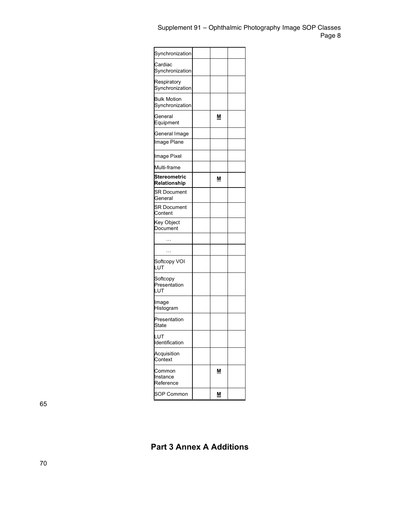| Synchronization                       |          |  |
|---------------------------------------|----------|--|
| Cardiac<br>Synchronization            |          |  |
| Respiratory<br>Synchronization        |          |  |
| <b>Bulk Motion</b><br>Synchronization |          |  |
| General<br>Equipment                  | Μ        |  |
| General Image                         |          |  |
| <b>Image Plane</b>                    |          |  |
| Image Pixel                           |          |  |
| Multi-frame                           |          |  |
| Stereometric<br>Relationship          | Μ        |  |
| <b>SR Document</b><br>General         |          |  |
| SR Document<br>Content                |          |  |
| Key Object<br>Document                |          |  |
| $\cdots$                              |          |  |
| $\ddotsc$                             |          |  |
| Softcopy VOI<br>LUT                   |          |  |
| Softcopy<br>Presentation<br>LUT       |          |  |
| Image<br>Histogram                    |          |  |
| Presentation<br>State                 |          |  |
| LUT<br>Identification                 |          |  |
| Acquisition<br>Context                |          |  |
| Common<br>Instance<br>Reference       | <u>М</u> |  |
| <b>SOP Common</b>                     | M        |  |

65

**Part 3 Annex A Additions**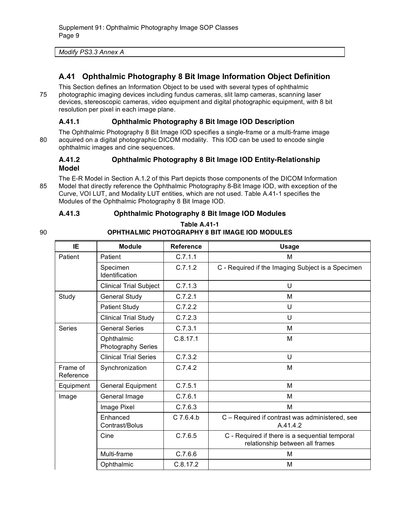| Modify PS3.3 Annex A |
|----------------------|
|----------------------|

### **A.41 Ophthalmic Photography 8 Bit Image Information Object Definition**

This Section defines an Information Object to be used with several types of ophthalmic 75 photographic imaging devices including fundus cameras, slit lamp cameras, scanning laser devices, stereoscopic cameras, video equipment and digital photographic equipment, with 8 bit resolution per pixel in each image plane.

#### **A.41.1 Ophthalmic Photography 8 Bit Image IOD Description**

The Ophthalmic Photography 8 Bit Image IOD specifies a single-frame or a multi-frame image 80 acquired on a digital photographic DICOM modality. This IOD can be used to encode single ophthalmic images and cine sequences.

### **A.41.2 Ophthalmic Photography 8 Bit Image IOD Entity-Relationship Model**

The E-R Model in Section A.1.2 of this Part depicts those components of the DICOM Information 85 Model that directly reference the Ophthalmic Photography 8-Bit Image IOD, with exception of the Curve, VOI LUT, and Modality LUT entities, which are not used. Table A.41-1 specifies the Modules of the Ophthalmic Photography 8 Bit Image IOD.

#### **A.41.3 Ophthalmic Photography 8 Bit Image IOD Modules**

#### **Table A.41-1** 90 **OPHTHALMIC PHOTOGRAPHY 8 BIT IMAGE IOD MODULES**

| IE                    | <b>Module</b>                    | <b>Reference</b> | <b>Usage</b>                                                                      |
|-----------------------|----------------------------------|------------------|-----------------------------------------------------------------------------------|
| Patient               | Patient                          | C.7.1.1          | М                                                                                 |
|                       | Specimen<br>Identification       | C.7.1.2          | C - Required if the Imaging Subject is a Specimen                                 |
|                       | <b>Clinical Trial Subject</b>    | C.7.1.3          | U                                                                                 |
| Study                 | <b>General Study</b>             | C.7.2.1          | M                                                                                 |
|                       | <b>Patient Study</b>             | C.7.2.2          | U                                                                                 |
|                       | <b>Clinical Trial Study</b>      | C.7.2.3          | U                                                                                 |
| <b>Series</b>         | <b>General Series</b>            | C.7.3.1          | м                                                                                 |
|                       | Ophthalmic<br>Photography Series | C.8.17.1         | M                                                                                 |
|                       | <b>Clinical Trial Series</b>     | C.7.3.2          | U                                                                                 |
| Frame of<br>Reference | Synchronization                  | C.7.4.2          | M                                                                                 |
| Equipment             | General Equipment                | C.7.5.1          | М                                                                                 |
| Image                 | General Image                    | C.7.6.1          | M                                                                                 |
|                       | Image Pixel                      | C.7.6.3          | М                                                                                 |
|                       | Enhanced<br>Contrast/Bolus       | $C$ 7.6.4.b      | C - Required if contrast was administered, see<br>A.41.4.2                        |
|                       | Cine                             | C.7.6.5          | C - Required if there is a sequential temporal<br>relationship between all frames |
|                       | Multi-frame                      | C.7.6.6          | м                                                                                 |
|                       | Ophthalmic                       | C.8.17.2         | M                                                                                 |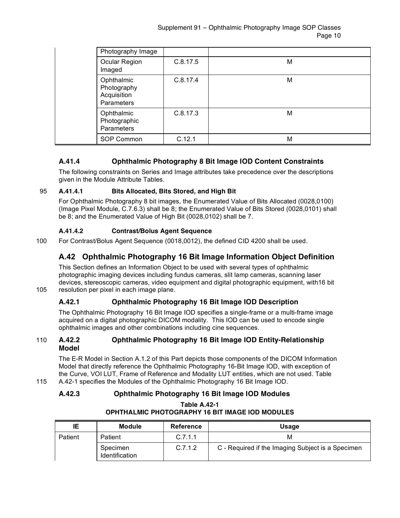|  | Photography Image                                      |          |   |
|--|--------------------------------------------------------|----------|---|
|  | Ocular Region<br>Imaged                                | C.8.17.5 | M |
|  | Ophthalmic<br>Photography<br>Acquisition<br>Parameters | C.8.17.4 | M |
|  | Ophthalmic<br>Photographic<br>Parameters               | C.8.17.3 | M |
|  | SOP Common                                             | C.12.1   | M |

### **A.41.4 Ophthalmic Photography 8 Bit Image IOD Content Constraints**

The following constraints on Series and Image attributes take precedence over the descriptions given in the Module Attribute Tables.

#### 95 **A.41.4.1 Bits Allocated, Bits Stored, and High Bit**

For Ophthalmic Photography 8 bit images, the Enumerated Value of Bits Allocated (0028,0100) (Image Pixel Module, C.7.6.3) shall be 8; the Enumerated Value of Bits Stored (0028,0101) shall be 8; and the Enumerated Value of High Bit (0028,0102) shall be 7.

### **A.41.4.2 Contrast/Bolus Agent Sequence**

100 For Contrast/Bolus Agent Sequence (0018,0012), the defined CID 4200 shall be used.

### **A.42 Ophthalmic Photography 16 Bit Image Information Object Definition**

This Section defines an Information Object to be used with several types of ophthalmic photographic imaging devices including fundus cameras, slit lamp cameras, scanning laser devices, stereoscopic cameras, video equipment and digital photographic equipment, with16 bit 105 resolution per pixel in each image plane.

### **A.42.1 Ophthalmic Photography 16 Bit Image IOD Description**

The Ophthalmic Photography 16 Bit Image IOD specifies a single-frame or a multi-frame image acquired on a digital photographic DICOM modality. This IOD can be used to encode single ophthalmic images and other combinations including cine sequences.

#### 110 **A.42.2 Ophthalmic Photography 16 Bit Image IOD Entity-Relationship Model**

The E-R Model in Section A.1.2 of this Part depicts those components of the DICOM Information Model that directly reference the Ophthalmic Photography 16-Bit Image IOD, with exception of the Curve, VOI LUT, Frame of Reference and Modality LUT entities, which are not used. Table 115 A.42-1 specifies the Modules of the Ophthalmic Photography 16 Bit Image IOD.

### **A.42.3 Ophthalmic Photography 16 Bit Image IOD Modules**

| IE      | <b>Module</b>              | <b>Reference</b> | Usage                                             |
|---------|----------------------------|------------------|---------------------------------------------------|
| Patient | Patient                    | C.7.1.1          | м                                                 |
|         | Specimen<br>Identification | C.7.1.2          | C - Required if the Imaging Subject is a Specimen |

#### **Table A.42-1 OPHTHALMIC PHOTOGRAPHY 16 BIT IMAGE IOD MODULES**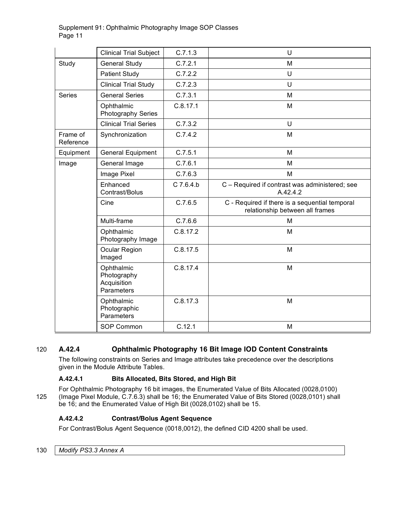|                       | <b>Clinical Trial Subject</b>                          | C.7.1.3     | U                                                                                 |
|-----------------------|--------------------------------------------------------|-------------|-----------------------------------------------------------------------------------|
|                       |                                                        |             |                                                                                   |
| Study                 | <b>General Study</b>                                   | C.7.2.1     | M                                                                                 |
|                       | <b>Patient Study</b>                                   | C.7.2.2     | U                                                                                 |
|                       | <b>Clinical Trial Study</b>                            | C.7.2.3     | U                                                                                 |
| <b>Series</b>         | <b>General Series</b>                                  | C.7.3.1     | M                                                                                 |
|                       | Ophthalmic<br>Photography Series                       | C.8.17.1    | M                                                                                 |
|                       | <b>Clinical Trial Series</b>                           | C.7.3.2     | U                                                                                 |
| Frame of<br>Reference | Synchronization                                        | C.7.4.2     | M                                                                                 |
| Equipment             | General Equipment                                      | C.7.5.1     | M                                                                                 |
| Image                 | General Image                                          | C.7.6.1     | M                                                                                 |
|                       | Image Pixel                                            | C.7.6.3     | M                                                                                 |
|                       | Enhanced<br>Contrast/Bolus                             | $C$ 7.6.4.b | C - Required if contrast was administered; see<br>A.42.4.2                        |
|                       | Cine                                                   | C.7.6.5     | C - Required if there is a sequential temporal<br>relationship between all frames |
|                       | Multi-frame                                            | C.7.6.6     | M                                                                                 |
|                       | Ophthalmic<br>Photography Image                        | C.8.17.2    | M                                                                                 |
|                       | Ocular Region<br>Imaged                                | C.8.17.5    | M                                                                                 |
|                       | Ophthalmic<br>Photography<br>Acquisition<br>Parameters | C.8.17.4    | M                                                                                 |
|                       | Ophthalmic<br>Photographic<br>Parameters               | C.8.17.3    | M                                                                                 |
|                       | SOP Common                                             | C.12.1      | M                                                                                 |

### 120 **A.42.4 Ophthalmic Photography 16 Bit Image IOD Content Constraints**

The following constraints on Series and Image attributes take precedence over the descriptions given in the Module Attribute Tables.

### **A.42.4.1 Bits Allocated, Bits Stored, and High Bit**

For Ophthalmic Photography 16 bit images, the Enumerated Value of Bits Allocated (0028,0100) 125 (Image Pixel Module, C.7.6.3) shall be 16; the Enumerated Value of Bits Stored (0028,0101) shall be 16; and the Enumerated Value of High Bit (0028,0102) shall be 15.

### **A.42.4.2 Contrast/Bolus Agent Sequence**

For Contrast/Bolus Agent Sequence (0018,0012), the defined CID 4200 shall be used.

130 *Modify PS3.3 Annex A*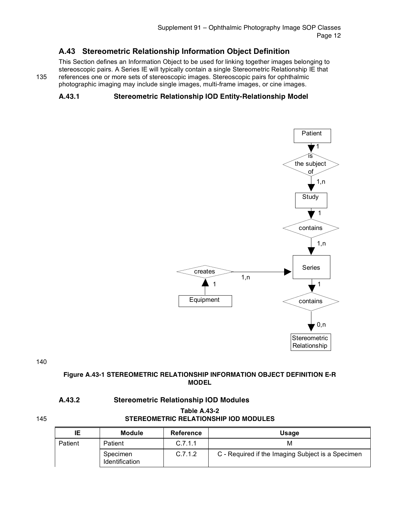### **A.43 Stereometric Relationship Information Object Definition**

This Section defines an Information Object to be used for linking together images belonging to stereoscopic pairs. A Series IE will typically contain a single Stereometric Relationship IE that 135 references one or more sets of stereoscopic images. Stereoscopic pairs for ophthalmic photographic imaging may include single images, multi-frame images, or cine images.

### **A.43.1 Stereometric Relationship IOD Entity-Relationship Model**



140

#### **Figure A.43-1 STEREOMETRIC RELATIONSHIP INFORMATION OBJECT DEFINITION E-R MODEL**

#### **A.43.2 Stereometric Relationship IOD Modules**

### **Table A.43-2** 145 **STEREOMETRIC RELATIONSHIP IOD MODULES**

| ΙE      | <b>Module</b>              | Reference | <b>Usage</b>                                      |
|---------|----------------------------|-----------|---------------------------------------------------|
| Patient | Patient                    | C.7.1.1   | м                                                 |
|         | Specimen<br>Identification | C.7.1.2   | C - Required if the Imaging Subject is a Specimen |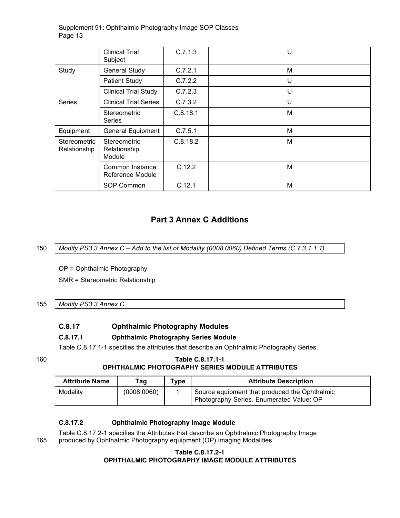|                                     | <b>Clinical Trial</b><br>Subject       | C.7.1.3  | U |
|-------------------------------------|----------------------------------------|----------|---|
| Study                               | <b>General Study</b>                   | C.7.2.1  | м |
|                                     | <b>Patient Study</b>                   | C.7.2.2  | U |
|                                     | <b>Clinical Trial Study</b>            | C.7.2.3  | U |
| <b>Series</b>                       | <b>Clinical Trial Series</b>           | C.7.3.2  | U |
|                                     | <b>Stereometric</b><br><b>Series</b>   | C.8.18.1 | M |
| Equipment                           | <b>General Equipment</b>               | C.7.5.1  | м |
| <b>Stereometric</b><br>Relationship | Stereometric<br>Relationship<br>Module | C.8.18.2 | M |
|                                     | Common Instance<br>Reference Module    | C.12.2   | M |
|                                     | SOP Common                             | C.12.1   | M |

### **Part 3 Annex C Additions**

150 *Modify PS3.3 Annex C – Add to the list of Modality (0008,0060) Defined Terms (C.7.3.1.1.1)*

OP = Ophthalmic Photography SMR = Stereometric Relationship

### 155 *Modify PS3.3 Annex C*

#### **C.8.17 Ophthalmic Photography Modules**

#### **C.8.17.1 Ophthalmic Photography Series Module**

Table C.8.17.1-1 specifies the attributes that describe an Ophthalmic Photography Series.

#### 160 **Table C.8.17.1-1 OPHTHALMIC PHOTOGRAPHY SERIES MODULE ATTRIBUTES**

| <b>Attribute Name</b> | Taq         | Type | <b>Attribute Description</b>                                                              |
|-----------------------|-------------|------|-------------------------------------------------------------------------------------------|
| Modality              | (0008,0060) |      | Source equipment that produced the Ophthalmic<br>Photography Series. Enumerated Value: OP |

#### **C.8.17.2 Ophthalmic Photography Image Module**

Table C.8.17.2-1 specifies the Attributes that describe an Ophthalmic Photography Image 165 produced by Ophthalmic Photography equipment (OP) imaging Modalities.

#### **Table C.8.17.2-1 OPHTHALMIC PHOTOGRAPHY IMAGE MODULE ATTRIBUTES**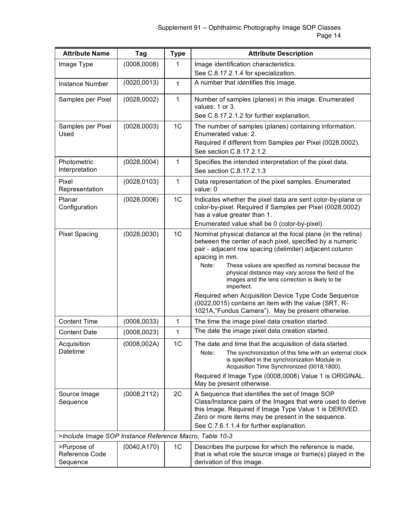| <b>Attribute Name</b>                                   | Tag          | <b>Type</b>    | <b>Attribute Description</b>                                                                                                                                                                                                                                                                                                                                                              |
|---------------------------------------------------------|--------------|----------------|-------------------------------------------------------------------------------------------------------------------------------------------------------------------------------------------------------------------------------------------------------------------------------------------------------------------------------------------------------------------------------------------|
| Image Type                                              | (0008,0008)  | 1              | Image identification characteristics.                                                                                                                                                                                                                                                                                                                                                     |
|                                                         |              |                | See C.8.17.2.1.4 for specialization.                                                                                                                                                                                                                                                                                                                                                      |
| <b>Instance Number</b>                                  | (0020, 0013) | 1              | A number that identifies this image.                                                                                                                                                                                                                                                                                                                                                      |
| Samples per Pixel                                       | (0028,0002)  | 1              | Number of samples (planes) in this image. Enumerated<br>values: 1 or 3.                                                                                                                                                                                                                                                                                                                   |
|                                                         |              |                | See C.8.17.2.1.2 for further explanation.                                                                                                                                                                                                                                                                                                                                                 |
| Samples per Pixel<br>Used                               | (0028,0003)  | 1 <sub>C</sub> | The number of samples (planes) containing information.<br>Enumerated value: 2.<br>Required if different from Samples per Pixel (0028,0002).                                                                                                                                                                                                                                               |
|                                                         |              |                | See section C.8.17.2.1.2                                                                                                                                                                                                                                                                                                                                                                  |
| Photometric<br>Interpretation                           | (0028, 0004) | 1              | Specifies the intended interpretation of the pixel data.<br>See section C.8.17.2.1.3                                                                                                                                                                                                                                                                                                      |
| Pixel<br>Representation                                 | (0028, 0103) | 1              | Data representation of the pixel samples. Enumerated<br>value: 0                                                                                                                                                                                                                                                                                                                          |
| Planar<br>Configuration                                 | (0028,0006)  | 1 <sub>C</sub> | Indicates whether the pixel data are sent color-by-plane or<br>color-by-pixel. Required if Samples per Pixel (0028,0002)<br>has a value greater than 1.                                                                                                                                                                                                                                   |
|                                                         |              |                | Enumerated value shall be 0 (color-by-pixel).                                                                                                                                                                                                                                                                                                                                             |
| <b>Pixel Spacing</b>                                    | (0028, 0030) | 1C             | Nominal physical distance at the focal plane (in the retina)<br>between the center of each pixel, specified by a numeric<br>pair - adjacent row spacing (delimiter) adjacent column<br>spacing in mm.<br>Note:<br>These values are specified as nominal because the<br>physical distance may vary across the field of the<br>images and the lens correction is likely to be<br>imperfect. |
|                                                         |              |                | Required when Acquisition Device Type Code Sequence<br>(0022,0015) contains an item with the value (SRT, R-<br>1021A,"Fundus Camera"). May be present otherwise.                                                                                                                                                                                                                          |
| <b>Content Time</b>                                     | (0008, 0033) | 1              | The time the image pixel data creation started.                                                                                                                                                                                                                                                                                                                                           |
| <b>Content Date</b>                                     | (0008, 0023) | 1              | The date the image pixel data creation started.                                                                                                                                                                                                                                                                                                                                           |
| Acquisition<br>Datetime                                 | (0008, 002A) | 1 <sup>C</sup> | The date and time that the acquisition of data started.<br>The synchronization of this time with an external clock<br>Note:<br>is specified in the synchronization Module in<br>Acquisition Time Synchronized (0018,1800).<br>Required if Image Type (0008,0008) Value 1 is ORIGINAL.<br>May be present otherwise.                                                                        |
| Source Image<br>Sequence                                | (0008, 2112) | 2C             | A Sequence that identifies the set of Image SOP<br>Class/Instance pairs of the Images that were used to derive<br>this Image. Required if Image Type Value 1 is DERIVED.<br>Zero or more items may be present in the sequence.<br>See C.7.6.1.1.4 for further explanation.                                                                                                                |
| >Include Image SOP Instance Reference Macro, Table 10-3 |              |                |                                                                                                                                                                                                                                                                                                                                                                                           |
| >Purpose of<br>Reference Code<br>Sequence               | (0040, A170) | 1 <sub>C</sub> | Describes the purpose for which the reference is made,<br>that is what role the source image or frame(s) played in the<br>derivation of this image.                                                                                                                                                                                                                                       |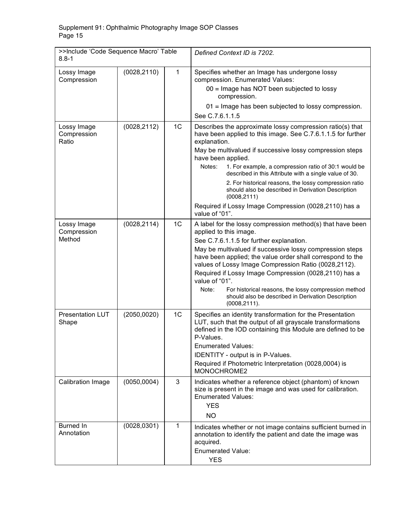| >>Include 'Code Sequence Macro' Table<br>$8.8 - 1$ |              |                | Defined Context ID is 7202.                                                                                                                                                                                                                                                                                                                                                                                                                                                                                                                                        |
|----------------------------------------------------|--------------|----------------|--------------------------------------------------------------------------------------------------------------------------------------------------------------------------------------------------------------------------------------------------------------------------------------------------------------------------------------------------------------------------------------------------------------------------------------------------------------------------------------------------------------------------------------------------------------------|
| Lossy Image<br>Compression                         | (0028, 2110) | 1              | Specifies whether an Image has undergone lossy<br>compression. Enumerated Values:<br>00 = Image has NOT been subjected to lossy<br>compression.                                                                                                                                                                                                                                                                                                                                                                                                                    |
|                                                    |              |                | 01 = Image has been subjected to lossy compression.<br>See C.7.6.1.1.5                                                                                                                                                                                                                                                                                                                                                                                                                                                                                             |
| Lossy Image<br>Compression<br>Ratio                | (0028, 2112) | 1 <sub>C</sub> | Describes the approximate lossy compression ratio(s) that<br>have been applied to this image. See C.7.6.1.1.5 for further<br>explanation.<br>May be multivalued if successive lossy compression steps<br>have been applied.<br>1. For example, a compression ratio of 30:1 would be<br>Notes:<br>described in this Attribute with a single value of 30.<br>2. For historical reasons, the lossy compression ratio<br>should also be described in Derivation Description<br>(0008, 2111)<br>Required if Lossy Image Compression (0028,2110) has a<br>value of "01". |
| Lossy Image<br>Compression<br>Method               | (0028, 2114) | 1 <sub>C</sub> | A label for the lossy compression method(s) that have been<br>applied to this image.<br>See C.7.6.1.1.5 for further explanation.<br>May be multivalued if successive lossy compression steps<br>have been applied; the value order shall correspond to the<br>values of Lossy Image Compression Ratio (0028,2112).<br>Required if Lossy Image Compression (0028,2110) has a<br>value of "01".<br>Note:<br>For historical reasons, the lossy compression method<br>should also be described in Derivation Description<br>(0008, 2111).                              |
| <b>Presentation LUT</b><br>Shape                   | (2050, 0020) | 1 <sub>C</sub> | Specifies an identity transformation for the Presentation<br>LUT, such that the output of all grayscale transformations<br>defined in the IOD containing this Module are defined to be<br>P-Values.<br><b>Enumerated Values:</b><br>IDENTITY - output is in P-Values.<br>Required if Photometric Interpretation (0028,0004) is<br>MONOCHROME2                                                                                                                                                                                                                      |
| Calibration Image                                  | (0050, 0004) | 3              | Indicates whether a reference object (phantom) of known<br>size is present in the image and was used for calibration.<br><b>Enumerated Values:</b><br><b>YES</b><br><b>NO</b>                                                                                                                                                                                                                                                                                                                                                                                      |
| Burned In<br>Annotation                            | (0028, 0301) | $\mathbf{1}$   | Indicates whether or not image contains sufficient burned in<br>annotation to identify the patient and date the image was<br>acquired.<br><b>Enumerated Value:</b><br><b>YES</b>                                                                                                                                                                                                                                                                                                                                                                                   |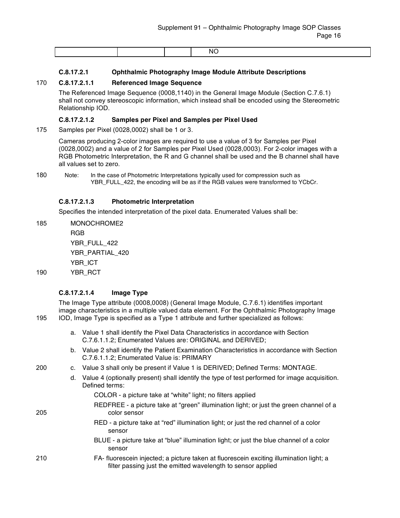|  | N |
|--|---|
|  |   |

#### **C.8.17.2.1 Ophthalmic Photography Image Module Attribute Descriptions**

#### 170 **C.8.17.2.1.1 Referenced Image Sequence**

The Referenced Image Sequence (0008,1140) in the General Image Module (Section C.7.6.1) shall not convey stereoscopic information, which instead shall be encoded using the Stereometric Relationship IOD.

#### **C.8.17.2.1.2 Samples per Pixel and Samples per Pixel Used**

175 Samples per Pixel (0028,0002) shall be 1 or 3.

Cameras producing 2-color images are required to use a value of 3 for Samples per Pixel (0028,0002) and a value of 2 for Samples per Pixel Used (0028,0003). For 2-color images with a RGB Photometric Interpretation, the R and G channel shall be used and the B channel shall have all values set to zero.

180 Note: In the case of Photometric Interpretations typically used for compression such as YBR\_FULL\_422, the encoding will be as if the RGB values were transformed to YCbCr.

#### **C.8.17.2.1.3 Photometric Interpretation**

Specifies the intended interpretation of the pixel data. Enumerated Values shall be:

- 185 MONOCHROME2 RGB YBR\_FULL\_422 YBR\_PARTIAL\_420 YBR\_ICT
- 190 YBR\_RCT

#### **C.8.17.2.1.4 Image Type**

The Image Type attribute (0008,0008) (General Image Module, C.7.6.1) identifies important image characteristics in a multiple valued data element. For the Ophthalmic Photography Image 195 IOD, Image Type is specified as a Type 1 attribute and further specialized as follows:

- a. Value 1 shall identify the Pixel Data Characteristics in accordance with Section C.7.6.1.1.2; Enumerated Values are: ORIGINAL and DERIVED;
- b. Value 2 shall identify the Patient Examination Characteristics in accordance with Section C.7.6.1.1.2; Enumerated Value is: PRIMARY
- 200 c. Value 3 shall only be present if Value 1 is DERIVED; Defined Terms: MONTAGE.
	- d. Value 4 (optionally present) shall identify the type of test performed for image acquisition. Defined terms:
		- COLOR a picture take at "white" light; no filters applied
- REDFREE a picture take at "green" illumination light; or just the green channel of a 205 color sensor
	- RED a picture take at "red" illumination light; or just the red channel of a color sensor
	- BLUE a picture take at "blue" illumination light; or just the blue channel of a color sensor
- 210 FA- fluorescein injected; a picture taken at fluorescein exciting illumination light; a filter passing just the emitted wavelength to sensor applied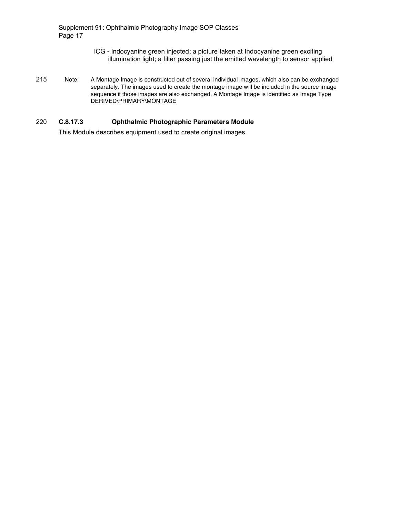- ICG Indocyanine green injected; a picture taken at Indocyanine green exciting illumination light; a filter passing just the emitted wavelength to sensor applied
- 215 Note: A Montage Image is constructed out of several individual images, which also can be exchanged separately. The images used to create the montage image will be included in the source image sequence if those images are also exchanged. A Montage Image is identified as Image Type DERIVED\PRIMARY\MONTAGE

#### 220 **C.8.17.3 Ophthalmic Photographic Parameters Module**

This Module describes equipment used to create original images.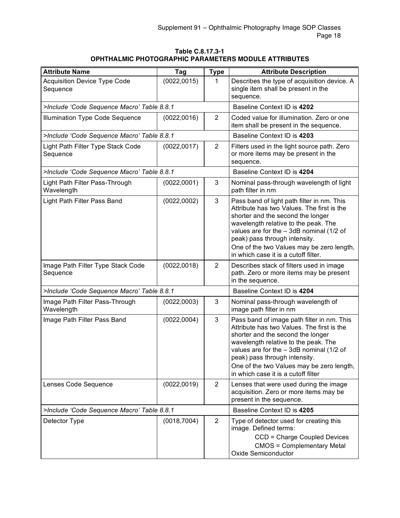#### **Table C.8.17.3-1 OPHTHALMIC PHOTOGRAPHIC PARAMETERS MODULE ATTRIBUTES**

| <b>Attribute Name</b>                           | Tag                         | <b>Type</b>    | <b>Attribute Description</b>                                                                                                                                                                                                                                                                                                             |
|-------------------------------------------------|-----------------------------|----------------|------------------------------------------------------------------------------------------------------------------------------------------------------------------------------------------------------------------------------------------------------------------------------------------------------------------------------------------|
| <b>Acquisition Device Type Code</b><br>Sequence | (0022, 0015)                | 1              | Describes the type of acquisition device. A<br>single item shall be present in the<br>sequence.                                                                                                                                                                                                                                          |
| >Include 'Code Sequence Macro' Table 8.8.1      | Baseline Context ID is 4202 |                |                                                                                                                                                                                                                                                                                                                                          |
| <b>Illumination Type Code Sequence</b>          | (0022,0016)                 | $\overline{2}$ | Coded value for illumination. Zero or one<br>item shall be present in the sequence.                                                                                                                                                                                                                                                      |
| >Include 'Code Sequence Macro' Table 8.8.1      |                             |                | Baseline Context ID is 4203                                                                                                                                                                                                                                                                                                              |
| Light Path Filter Type Stack Code<br>Sequence   | (0022, 0017)                | $\overline{2}$ | Filters used in the light source path. Zero<br>or more items may be present in the<br>sequence.                                                                                                                                                                                                                                          |
| >Include 'Code Sequence Macro' Table 8.8.1      |                             |                | Baseline Context ID is 4204                                                                                                                                                                                                                                                                                                              |
| Light Path Filter Pass-Through<br>Wavelength    | (0022,0001)                 | 3              | Nominal pass-through wavelength of light<br>path filter in nm                                                                                                                                                                                                                                                                            |
| Light Path Filter Pass Band                     | (0022,0002)                 | 3              | Pass band of light path filter in nm. This<br>Attribute has two Values. The first is the<br>shorter and the second the longer<br>wavelength relative to the peak. The<br>values are for the $-3dB$ nominal (1/2 of<br>peak) pass through intensity.<br>One of the two Values may be zero length,<br>in which case it is a cutoff filter. |
| Image Path Filter Type Stack Code<br>Sequence   | (0022, 0018)                | $\overline{2}$ | Describes stack of filters used in image<br>path. Zero or more items may be present<br>in the sequence.                                                                                                                                                                                                                                  |
| >Include 'Code Sequence Macro' Table 8.8.1      |                             |                | Baseline Context ID is 4204                                                                                                                                                                                                                                                                                                              |
| Image Path Filter Pass-Through<br>Wavelength    | (0022,0003)                 | 3              | Nominal pass-through wavelength of<br>image path filter in nm                                                                                                                                                                                                                                                                            |
| Image Path Filter Pass Band                     | (0022,0004)                 | 3              | Pass band of image path filter in nm. This<br>Attribute has two Values. The first is the<br>shorter and the second the longer<br>wavelength relative to the peak. The<br>values are for the $-3$ dB nominal (1/2 of<br>peak) pass through intensity.<br>One of the two Values may be zero length,<br>in which case it is a cutoff filter |
| Lenses Code Sequence                            | (0022, 0019)                | 2              | Lenses that were used during the image<br>acquisition. Zero or more items may be<br>present in the sequence.                                                                                                                                                                                                                             |
| >Include 'Code Sequence Macro' Table 8.8.1      |                             |                | Baseline Context ID is 4205                                                                                                                                                                                                                                                                                                              |
| Detector Type                                   | (0018,7004)                 | 2              | Type of detector used for creating this<br>image. Defined terms:<br>CCD = Charge Coupled Devices<br><b>CMOS = Complementary Metal</b><br><b>Oxide Semiconductor</b>                                                                                                                                                                      |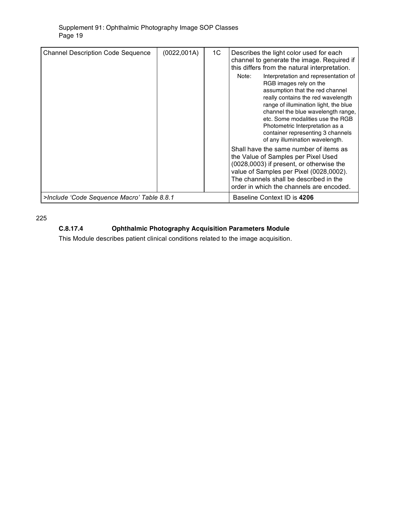| <b>Channel Description Code Sequence</b>   | (0022, 001A) | 1C | Describes the light color used for each<br>channel to generate the image. Required if<br>this differs from the natural interpretation.<br>Interpretation and representation of<br>Note:<br>RGB images rely on the<br>assumption that the red channel<br>really contains the red wavelength<br>range of illumination light, the blue<br>channel the blue wavelength range,<br>etc. Some modalities use the RGB<br>Photometric Interpretation as a<br>container representing 3 channels<br>of any illumination wavelength.<br>Shall have the same number of items as<br>the Value of Samples per Pixel Used<br>(0028,0003) if present, or otherwise the<br>value of Samples per Pixel (0028,0002).<br>The channels shall be described in the |
|--------------------------------------------|--------------|----|--------------------------------------------------------------------------------------------------------------------------------------------------------------------------------------------------------------------------------------------------------------------------------------------------------------------------------------------------------------------------------------------------------------------------------------------------------------------------------------------------------------------------------------------------------------------------------------------------------------------------------------------------------------------------------------------------------------------------------------------|
|                                            |              |    | order in which the channels are encoded.                                                                                                                                                                                                                                                                                                                                                                                                                                                                                                                                                                                                                                                                                                   |
| >Include 'Code Sequence Macro' Table 8.8.1 |              |    | Baseline Context ID is 4206                                                                                                                                                                                                                                                                                                                                                                                                                                                                                                                                                                                                                                                                                                                |

225

### **C.8.17.4 Ophthalmic Photography Acquisition Parameters Module**

This Module describes patient clinical conditions related to the image acquisition.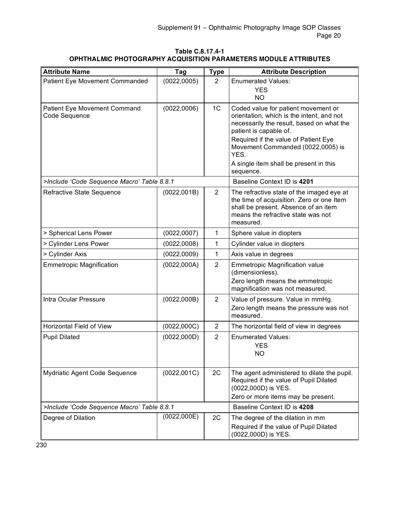#### **Table C.8.17.4-1 OPHTHALMIC PHOTOGRAPHY ACQUISITION PARAMETERS MODULE ATTRIBUTES**

| <b>Attribute Name</b>                         | Tag          | <b>Type</b>    | <b>Attribute Description</b>                                                                                                                                                      |
|-----------------------------------------------|--------------|----------------|-----------------------------------------------------------------------------------------------------------------------------------------------------------------------------------|
| Patient Eye Movement Commanded                | (0022, 0005) | $\overline{2}$ | <b>Enumerated Values:</b>                                                                                                                                                         |
|                                               |              |                | <b>YES</b>                                                                                                                                                                        |
|                                               |              |                | <b>NO</b>                                                                                                                                                                         |
| Patient Eye Movement Command<br>Code Sequence | (0022,0006)  | 1 <sub>C</sub> | Coded value for patient movement or<br>orientation, which is the intent, and not                                                                                                  |
|                                               |              |                | necessarily the result, based on what the                                                                                                                                         |
|                                               |              |                | patient is capable of.                                                                                                                                                            |
|                                               |              |                | Required if the value of Patient Eye<br>Movement Commanded (0022,0005) is<br>YES.                                                                                                 |
|                                               |              |                | A single item shall be present in this                                                                                                                                            |
|                                               |              |                | sequence.                                                                                                                                                                         |
| >Include 'Code Sequence Macro' Table 8.8.1    |              |                | Baseline Context ID is 4201                                                                                                                                                       |
| Refractive State Sequence                     | (0022,001B)  | $\overline{2}$ | The refractive state of the imaged eye at<br>the time of acquisition. Zero or one Item<br>shall be present. Absence of an item<br>means the refractive state was not<br>measured. |
| > Spherical Lens Power                        | (0022, 0007) | $\mathbf{1}$   | Sphere value in diopters                                                                                                                                                          |
| > Cylinder Lens Power                         | (0022,0008)  | 1              | Cylinder value in diopters                                                                                                                                                        |
| > Cylinder Axis                               | (0022,0009)  | 1              | Axis value in degrees                                                                                                                                                             |
| <b>Emmetropic Magnification</b>               | (0022,000A)  | $\overline{2}$ | <b>Emmetropic Magnification value</b><br>(dimensionless).                                                                                                                         |
|                                               |              |                | Zero length means the emmetropic<br>magnification was not measured.                                                                                                               |
| Intra Ocular Pressure                         | (0022,000B)  | $\overline{2}$ | Value of pressure. Value in mmHg.                                                                                                                                                 |
|                                               |              |                | Zero length means the pressure was not<br>measured.                                                                                                                               |
| Horizontal Field of View                      | (0022,000C)  | $\overline{2}$ | The horizontal field of view in degrees                                                                                                                                           |
| <b>Pupil Dilated</b>                          | (0022,000D)  | $\overline{2}$ | <b>Enumerated Values:</b>                                                                                                                                                         |
|                                               |              |                | <b>YES</b>                                                                                                                                                                        |
|                                               |              |                | <b>NO</b>                                                                                                                                                                         |
| Mydriatic Agent Code Sequence                 | (0022,001C)  | 2C             | The agent administered to dilate the pupil.                                                                                                                                       |
|                                               |              |                | Required if the value of Pupil Dilated                                                                                                                                            |
|                                               |              |                | (0022,000D) is YES.                                                                                                                                                               |
|                                               |              |                | Zero or more items may be present.                                                                                                                                                |
| >Include 'Code Sequence Macro' Table 8.8.1    |              |                | Baseline Context ID is 4208                                                                                                                                                       |
| Degree of Dilation                            | (0022,000E)  | 2C             | The degree of the dilation in mm                                                                                                                                                  |
|                                               |              |                | Required if the value of Pupil Dilated<br>(0022,000D) is YES.                                                                                                                     |

230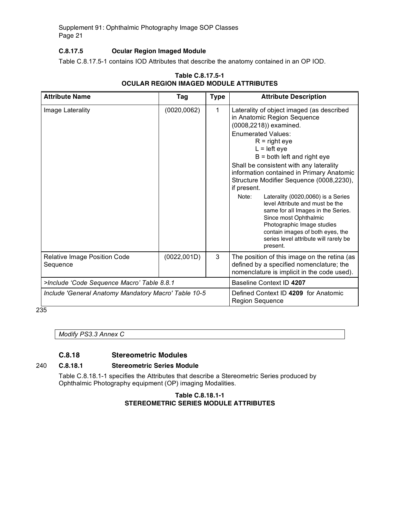#### **C.8.17.5 Ocular Region Imaged Module**

Table C.8.17.5-1 contains IOD Attributes that describe the anatomy contained in an OP IOD.

| <b>Attribute Name</b>                                | Tag          | <b>Type</b> | <b>Attribute Description</b>                                                                                                                                                                                                                                                                                                                                                                                                                                                                                                                                                                                                     |
|------------------------------------------------------|--------------|-------------|----------------------------------------------------------------------------------------------------------------------------------------------------------------------------------------------------------------------------------------------------------------------------------------------------------------------------------------------------------------------------------------------------------------------------------------------------------------------------------------------------------------------------------------------------------------------------------------------------------------------------------|
| Image Laterality                                     | (0020, 0062) | 1           | Laterality of object imaged (as described<br>in Anatomic Region Sequence<br>(0008,2218)) examined.<br><b>Enumerated Values:</b><br>$R =$ right eye<br>$L = left eye$<br>$B =$ both left and right eye<br>Shall be consistent with any laterality<br>information contained in Primary Anatomic<br>Structure Modifier Sequence (0008,2230),<br>if present.<br>Note:<br>Laterality (0020,0060) is a Series<br>level Attribute and must be the<br>same for all Images in the Series.<br>Since most Ophthalmic<br>Photographic Image studies<br>contain images of both eyes, the<br>series level attribute will rarely be<br>present. |
| <b>Relative Image Position Code</b><br>Sequence      | (0022, 001D) | 3           | The position of this image on the retina (as<br>defined by a specified nomenclature; the<br>nomenclature is implicit in the code used).                                                                                                                                                                                                                                                                                                                                                                                                                                                                                          |
| >Include 'Code Sequence Macro' Table 8.8.1           |              |             | Baseline Context ID 4207                                                                                                                                                                                                                                                                                                                                                                                                                                                                                                                                                                                                         |
| Include 'General Anatomy Mandatory Macro' Table 10-5 |              |             | Defined Context ID 4209 for Anatomic<br><b>Region Sequence</b>                                                                                                                                                                                                                                                                                                                                                                                                                                                                                                                                                                   |

### **Table C.8.17.5-1 OCULAR REGION IMAGED MODULE ATTRIBUTES**

 $235$ 

*Modify PS3.3 Annex C*

### **C.8.18 Stereometric Modules**

#### 240 **C.8.18.1 Stereometric Series Module**

Table C.8.18.1-1 specifies the Attributes that describe a Stereometric Series produced by Ophthalmic Photography equipment (OP) imaging Modalities.

#### **Table C.8.18.1-1 STEREOMETRIC SERIES MODULE ATTRIBUTES**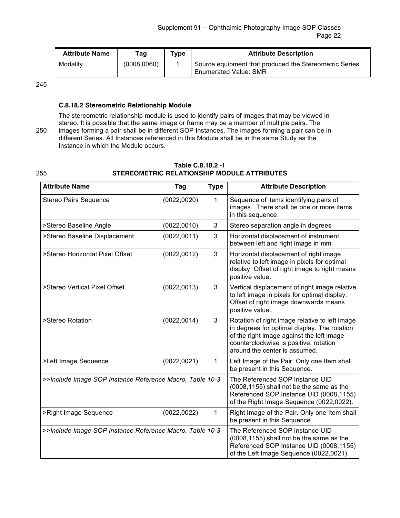| <b>Attribute Name</b> | Taq         | $T$ <sub>ype</sub> | <b>Attribute Description</b>                                                            |
|-----------------------|-------------|--------------------|-----------------------------------------------------------------------------------------|
| Modality              | (0008,0060) |                    | Source equipment that produced the Stereometric Series.<br><b>Enumerated Value: SMR</b> |

245

#### **C.8.18.2 Stereometric Relationship Module**

The stereometric relationship module is used to identify pairs of images that may be viewed in stereo. It is possible that the same image or frame may be a member of multiple pairs. The 250 images forming a pair shall be in different SOP Instances. The images forming a pair can be in different Series. All Instances referenced in this Module shall be in the same Study as the Instance in which the Module occurs.

|     | Table C.8.18.2 -1                           |
|-----|---------------------------------------------|
| 255 | STEREOMETRIC RELATIONSHIP MODULE ATTRIBUTES |

| <b>Attribute Name</b>                                    | Tag          | <b>Type</b>                                                                                                                                                        | <b>Attribute Description</b>                                                                                                                                                                                           |
|----------------------------------------------------------|--------------|--------------------------------------------------------------------------------------------------------------------------------------------------------------------|------------------------------------------------------------------------------------------------------------------------------------------------------------------------------------------------------------------------|
| Stereo Pairs Sequence                                    | (0022, 0020) | 1                                                                                                                                                                  | Sequence of items identifying pairs of<br>images. There shall be one or more items<br>in this sequence.                                                                                                                |
| >Stereo Baseline Angle                                   | (0022, 0010) | 3                                                                                                                                                                  | Stereo separation angle in degrees                                                                                                                                                                                     |
| >Stereo Baseline Displacement                            | (0022, 0011) | 3                                                                                                                                                                  | Horizontal displacement of instrument<br>between left and right image in mm                                                                                                                                            |
| >Stereo Horizontal Pixel Offset                          | (0022, 0012) | 3                                                                                                                                                                  | Horizontal displacement of right image<br>relative to left image in pixels for optimal<br>display. Offset of right image to right means<br>positive value.                                                             |
| >Stereo Vertical Pixel Offset                            | (0022, 0013) | 3                                                                                                                                                                  | Vertical displacement of right image relative<br>to left image in pixels for optimal display.<br>Offset of right image downwards means<br>positive value.                                                              |
| >Stereo Rotation                                         | (0022, 0014) | 3                                                                                                                                                                  | Rotation of right image relative to left image<br>in degrees for optimal display. The rotation<br>of the right image against the left image<br>counterclockwise is positive, rotation<br>around the center is assumed. |
| >Left Image Sequence                                     | (0022, 0021) | 1                                                                                                                                                                  | Left Image of the Pair. Only one Item shall<br>be present in this Sequence.                                                                                                                                            |
| >>Include Image SOP Instance Reference Macro, Table 10-3 |              | The Referenced SOP Instance UID<br>(0008,1155) shall not be the same as the<br>Referenced SOP Instance UID (0008,1155)<br>of the Right Image Sequence (0022,0022). |                                                                                                                                                                                                                        |
| >Right Image Sequence                                    | 1            | Right Image of the Pair. Only one Item shall<br>be present in this Sequence.                                                                                       |                                                                                                                                                                                                                        |
| >>Include Image SOP Instance Reference Macro, Table 10-3 |              | The Referenced SOP Instance UID<br>(0008,1155) shall not be the same as the<br>Referenced SOP Instance UID (0008,1155)<br>of the Left Image Sequence (0022,0021).  |                                                                                                                                                                                                                        |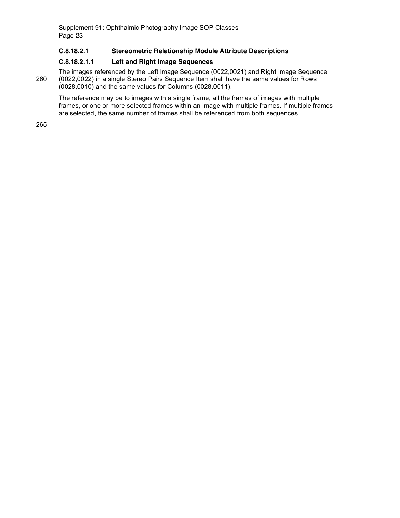#### **C.8.18.2.1 Stereometric Relationship Module Attribute Descriptions**

#### **C.8.18.2.1.1 Left and Right Image Sequences**

The images referenced by the Left Image Sequence (0022,0021) and Right Image Sequence 260 (0022,0022) in a single Stereo Pairs Sequence Item shall have the same values for Rows (0028,0010) and the same values for Columns (0028,0011).

The reference may be to images with a single frame, all the frames of images with multiple frames, or one or more selected frames within an image with multiple frames. If multiple frames are selected, the same number of frames shall be referenced from both sequences.

265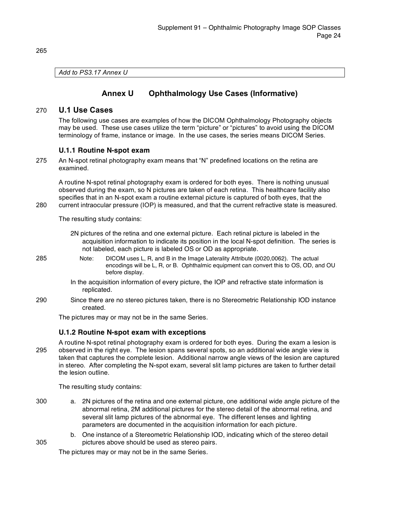*Add to PS3.17 Annex U*

### **Annex U Ophthalmology Use Cases (Informative)**

#### 270 **U.1 Use Cases**

The following use cases are examples of how the DICOM Ophthalmology Photography objects may be used. These use cases utilize the term "picture" or "pictures" to avoid using the DICOM terminology of frame, instance or image. In the use cases, the series means DICOM Series.

#### **U.1.1 Routine N-spot exam**

275 An N-spot retinal photography exam means that "N" predefined locations on the retina are examined.

A routine N-spot retinal photography exam is ordered for both eyes. There is nothing unusual observed during the exam, so N pictures are taken of each retina. This healthcare facility also specifies that in an N-spot exam a routine external picture is captured of both eyes, that the 280 current intraocular pressure (IOP) is measured, and that the current refractive state is measured.

The resulting study contains:

- 2N pictures of the retina and one external picture. Each retinal picture is labeled in the acquisition information to indicate its position in the local N-spot definition. The series is not labeled, each picture is labeled OS or OD as appropriate.
- 285 Note: DICOM uses L, R, and B in the Image Laterality Attribute (0020,0062). The actual encodings will be L, R, or B. Ophthalmic equipment can convert this to OS, OD, and OU before display.
	- In the acquisition information of every picture, the IOP and refractive state information is replicated.
- 290 Since there are no stereo pictures taken, there is no Stereometric Relationship IOD instance created.

The pictures may or may not be in the same Series.

#### **U.1.2 Routine N-spot exam with exceptions**

A routine N-spot retinal photography exam is ordered for both eyes. During the exam a lesion is 295 observed in the right eye. The lesion spans several spots, so an additional wide angle view is taken that captures the complete lesion. Additional narrow angle views of the lesion are captured in stereo. After completing the N-spot exam, several slit lamp pictures are taken to further detail the lesion outline.

The resulting study contains:

- 300 a. 2N pictures of the retina and one external picture, one additional wide angle picture of the abnormal retina, 2M additional pictures for the stereo detail of the abnormal retina, and several slit lamp pictures of the abnormal eye. The different lenses and lighting parameters are documented in the acquisition information for each picture.
- b. One instance of a Stereometric Relationship IOD, indicating which of the stereo detail 305 pictures above should be used as stereo pairs.

The pictures may or may not be in the same Series.

265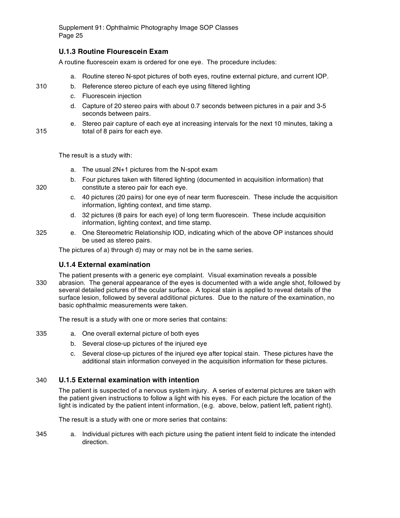#### **U.1.3 Routine Flourescein Exam**

A routine fluorescein exam is ordered for one eye. The procedure includes:

- a. Routine stereo N-spot pictures of both eyes, routine external picture, and current IOP.
- 310 b. Reference stereo picture of each eye using filtered lighting
	- c. Fluorescein injection
	- d. Capture of 20 stereo pairs with about 0.7 seconds between pictures in a pair and 3-5 seconds between pairs.
- e. Stereo pair capture of each eye at increasing intervals for the next 10 minutes, taking a 315 total of 8 pairs for each eye.

The result is a study with:

- a. The usual 2N+1 pictures from the N-spot exam
- b. Four pictures taken with filtered lighting (documented in acquisition information) that 320 constitute a stereo pair for each eye.
	- c. 40 pictures (20 pairs) for one eye of near term fluorescein. These include the acquisition information, lighting context, and time stamp.
	- d. 32 pictures (8 pairs for each eye) of long term fluorescein. These include acquisition information, lighting context, and time stamp.
- 325 e. One Stereometric Relationship IOD, indicating which of the above OP instances should be used as stereo pairs.

The pictures of a) through d) may or may not be in the same series.

#### **U.1.4 External examination**

The patient presents with a generic eye complaint. Visual examination reveals a possible 330 abrasion. The general appearance of the eyes is documented with a wide angle shot, followed by several detailed pictures of the ocular surface. A topical stain is applied to reveal details of the surface lesion, followed by several additional pictures. Due to the nature of the examination, no basic ophthalmic measurements were taken.

The result is a study with one or more series that contains:

- 335 a. One overall external picture of both eyes
	- b. Several close-up pictures of the injured eye
	- c. Several close-up pictures of the injured eye after topical stain. These pictures have the additional stain information conveyed in the acquisition information for these pictures.

#### 340 **U.1.5 External examination with intention**

The patient is suspected of a nervous system injury. A series of external pictures are taken with the patient given instructions to follow a light with his eyes. For each picture the location of the light is indicated by the patient intent information, (e.g. above, below, patient left, patient right).

The result is a study with one or more series that contains:

345 a. Individual pictures with each picture using the patient intent field to indicate the intended direction.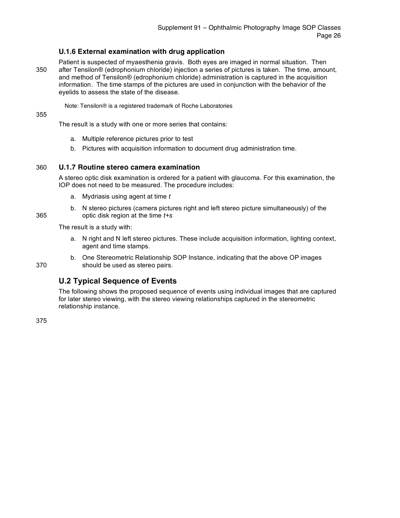#### **U.1.6 External examination with drug application**

Patient is suspected of myaesthenia gravis. Both eyes are imaged in normal situation. Then 350 after Tensilon® (edrophonium chloride) injection a series of pictures is taken. The time, amount, and method of Tensilon® (edrophonium chloride) administration is captured in the acquisition information. The time stamps of the pictures are used in conjunction with the behavior of the eyelids to assess the state of the disease.

Note: Tensilon® is a registered trademark of Roche Laboratories

#### 355

The result is a study with one or more series that contains:

- a. Multiple reference pictures prior to test
- b. Pictures with acquisition information to document drug administration time.

#### 360 **U.1.7 Routine stereo camera examination**

A stereo optic disk examination is ordered for a patient with glaucoma. For this examination, the IOP does not need to be measured. The procedure includes:

- a. Mydriasis using agent at time *t*
- b. N stereo pictures (camera pictures right and left stereo picture simultaneously) of the 365 optic disk region at the time *t+s*

The result is a study with:

- a. N right and N left stereo pictures. These include acquisition information, lighting context, agent and time stamps.
- 

#### b. One Stereometric Relationship SOP Instance, indicating that the above OP images 370 should be used as stereo pairs.

### **U.2 Typical Sequence of Events**

The following shows the proposed sequence of events using individual images that are captured for later stereo viewing, with the stereo viewing relationships captured in the stereometric relationship instance.

375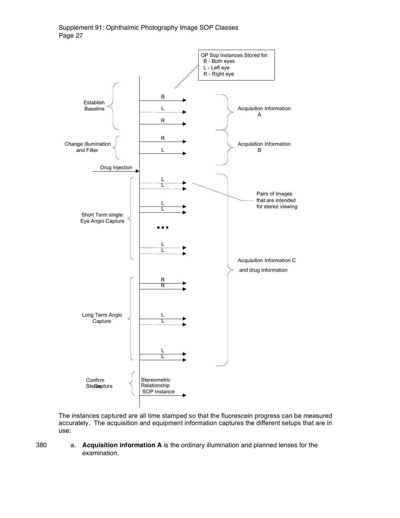

The instances captured are all time stamped so that the fluorescein progress can be measured accurately. The acquisition and equipment information captures the different setups that are in use:

380 a. **Acquisition information A** is the ordinary illumination and planned lenses for the examination.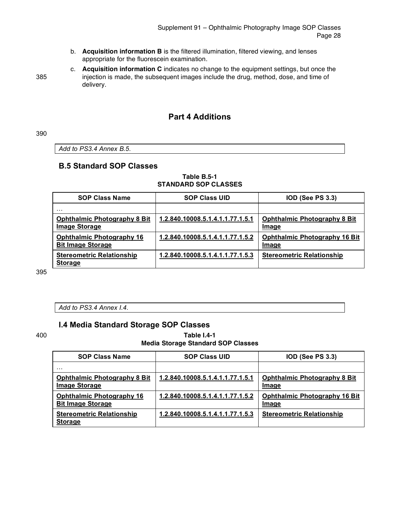- b. **Acquisition information B** is the filtered illumination, filtered viewing, and lenses appropriate for the fluorescein examination.
- c. **Acquisition information C** indicates no change to the equipment settings, but once the 385 injection is made, the subsequent images include the drug, method, dose, and time of delivery.

### **Part 4 Additions**

390

*Add to PS3.4 Annex B.5.*

### **B.5 Standard SOP Classes**

#### **Table B.5-1 STANDARD SOP CLASSES**

| <b>SOP Class Name</b>                                        | <b>SOP Class UID</b>             | <b>IOD (See PS 3.3)</b>                       |
|--------------------------------------------------------------|----------------------------------|-----------------------------------------------|
| .                                                            |                                  |                                               |
| <b>Ophthalmic Photography 8 Bit</b><br><b>Image Storage</b>  | 1.2.840.10008.5.1.4.1.1.77.1.5.1 | <b>Ophthalmic Photography 8 Bit</b><br>Image  |
| <b>Ophthalmic Photography 16</b><br><b>Bit Image Storage</b> | 1.2.840.10008.5.1.4.1.1.77.1.5.2 | <b>Ophthalmic Photography 16 Bit</b><br>Image |
| <b>Stereometric Relationship</b><br><b>Storage</b>           | 1.2.840.10008.5.1.4.1.1.77.1.5.3 | <b>Stereometric Relationship</b>              |

395

*Add to PS3.4 Annex I.4.*

### **I.4 Media Standard Storage SOP Classes**

#### 400 **Table I.4-1 Media Storage Standard SOP Classes**

| <b>SOP Class Name</b>                                        | <b>SOP Class UID</b>             | <b>IOD (See PS 3.3)</b>                       |
|--------------------------------------------------------------|----------------------------------|-----------------------------------------------|
| $\cdots$                                                     |                                  |                                               |
| <b>Ophthalmic Photography 8 Bit</b><br><b>Image Storage</b>  | 1.2.840.10008.5.1.4.1.1.77.1.5.1 | <b>Ophthalmic Photography 8 Bit</b><br>Image  |
| <b>Ophthalmic Photography 16</b><br><b>Bit Image Storage</b> | 1.2.840.10008.5.1.4.1.1.77.1.5.2 | <b>Ophthalmic Photography 16 Bit</b><br>Image |
| <b>Stereometric Relationship</b><br><b>Storage</b>           | 1.2.840.10008.5.1.4.1.1.77.1.5.3 | <b>Stereometric Relationship</b>              |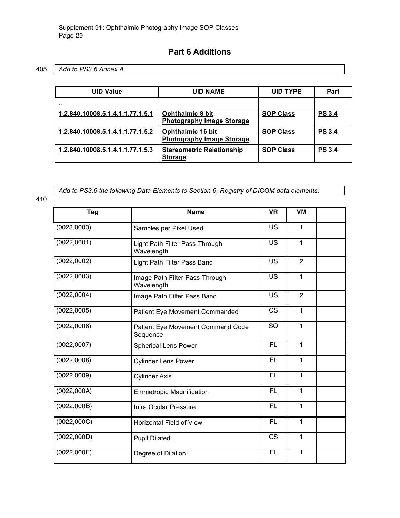### **Part 6 Additions**

### 405 *Add to PS3.6 Annex A*

| UID Value                        | <b>UID NAME</b>                                              | <b>UID TYPE</b>  | Part          |
|----------------------------------|--------------------------------------------------------------|------------------|---------------|
| .                                |                                                              |                  |               |
| 1.2.840.10008.5.1.4.1.1.77.1.5.1 | <b>Ophthalmic 8 bit</b><br><b>Photography Image Storage</b>  | <b>SOP Class</b> | <b>PS 3.4</b> |
| 1.2.840.10008.5.1.4.1.1.77.1.5.2 | <b>Ophthalmic 16 bit</b><br><b>Photography Image Storage</b> | <b>SOP Class</b> | <b>PS 3.4</b> |
| 1.2.840.10008.5.1.4.1.1.77.1.5.3 | <b>Stereometric Relationship</b><br><b>Storage</b>           | <b>SOP Class</b> | <b>PS 3.4</b> |

*Add to PS3.6 the following Data Elements to Section 6, Registry of DICOM data elements:*

410

| Tag          | <b>Name</b>                                   | <b>VR</b> | <b>VM</b>      |  |
|--------------|-----------------------------------------------|-----------|----------------|--|
| (0028, 0003) | Samples per Pixel Used                        | US        | 1              |  |
| (0022, 0001) | Light Path Filter Pass-Through<br>Wavelength  | US        | $\mathbf{1}$   |  |
| (0022, 0002) | Light Path Filter Pass Band                   | US        | $\overline{2}$ |  |
| (0022, 0003) | Image Path Filter Pass-Through<br>Wavelength  | US        | 1              |  |
| (0022, 0004) | Image Path Filter Pass Band                   | <b>US</b> | $\overline{2}$ |  |
| (0022, 0005) | Patient Eye Movement Commanded                | CS        | 1              |  |
| (0022,0006)  | Patient Eye Movement Command Code<br>Sequence |           | 1              |  |
| (0022, 0007) | <b>Spherical Lens Power</b>                   | <b>FL</b> | 1              |  |
| (0022, 0008) | <b>Cylinder Lens Power</b>                    | FL        | $\mathbf{1}$   |  |
| (0022, 0009) | FL<br><b>Cylinder Axis</b>                    |           | 1              |  |
| (0022,000A)  | <b>Emmetropic Magnification</b>               | <b>FL</b> | 1              |  |
| (0022,000B)  | FL.<br>Intra Ocular Pressure                  |           | 1              |  |
| (0022,000C)  | <b>Horizontal Field of View</b>               |           | $\mathbf{1}$   |  |
| (0022,000D)  | 1<br><b>CS</b><br><b>Pupil Dilated</b>        |           |                |  |
| (0022,000E)  | Degree of Dilation                            | FL        | 1              |  |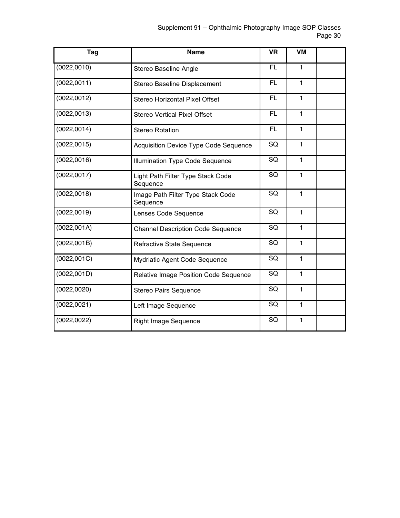| Tag          | <b>Name</b>                                   | <b>VR</b> | VM           |  |
|--------------|-----------------------------------------------|-----------|--------------|--|
| (0022, 0010) | Stereo Baseline Angle                         | FL        | $\mathbf{1}$ |  |
| (0022, 0011) | Stereo Baseline Displacement                  | FL        | 1            |  |
| (0022, 0012) | Stereo Horizontal Pixel Offset                | <b>FL</b> | $\mathbf{1}$ |  |
| (0022, 0013) | <b>Stereo Vertical Pixel Offset</b>           | <b>FL</b> | $\mathbf{1}$ |  |
| (0022, 0014) | <b>Stereo Rotation</b>                        | <b>FL</b> | $\mathbf{1}$ |  |
| (0022, 0015) | <b>Acquisition Device Type Code Sequence</b>  | SQ        | $\mathbf{1}$ |  |
| (0022,0016)  | Illumination Type Code Sequence               | SQ        | 1            |  |
| (0022, 0017) | Light Path Filter Type Stack Code<br>Sequence | SQ        | $\mathbf{1}$ |  |
| (0022, 0018) | Image Path Filter Type Stack Code<br>Sequence | SQ        | $\mathbf{1}$ |  |
| (0022, 0019) | Lenses Code Sequence                          | SQ        | $\mathbf{1}$ |  |
| (0022, 001A) | <b>Channel Description Code Sequence</b>      | SQ        | $\mathbf{1}$ |  |
| (0022,001B)  | Refractive State Sequence                     | SQ        | $\mathbf{1}$ |  |
| (0022, 001C) | SQ<br>Mydriatic Agent Code Sequence           |           | 1            |  |
| (0022, 001D) | Relative Image Position Code Sequence         | SQ        | $\mathbf{1}$ |  |
| (0022, 0020) | SQ<br>1<br>Stereo Pairs Sequence              |           |              |  |
| (0022, 0021) | SQ<br>$\mathbf{1}$<br>Left Image Sequence     |           |              |  |
| (0022, 0022) | <b>Right Image Sequence</b>                   | SQ        | 1            |  |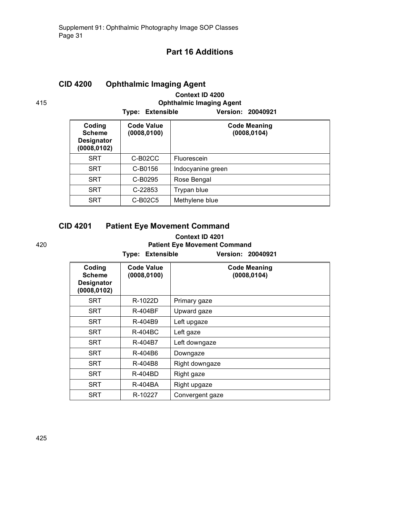### **Part 16 Additions**

# **CID 4200 Ophthalmic Imaging Agent**

### **Context ID 4200** 415 **Ophthalmic Imaging Agent**

**Type: Extensible Version: 20040921**

| Coding<br><b>Scheme</b><br>Designator<br>(0008, 0102) | <b>Code Value</b><br>(0008, 0100) | <b>Code Meaning</b><br>(0008, 0104) |
|-------------------------------------------------------|-----------------------------------|-------------------------------------|
| <b>SRT</b>                                            | C-B02CC                           | Fluorescein                         |
| <b>SRT</b>                                            | C-B0156                           | Indocyanine green                   |
| <b>SRT</b>                                            | C-B0295                           | Rose Bengal                         |
| <b>SRT</b>                                            | C-22853                           | Trypan blue                         |
| <b>SRT</b>                                            | C-B02C5                           | Methylene blue                      |

### **CID 4201 Patient Eye Movement Command**

#### **Context ID 4201** 420 **Patient Eye Movement Command**

**Type: Extensible Version: 20040921**

| Coding<br><b>Scheme</b><br><b>Designator</b><br>(0008,0102) | <b>Code Value</b><br>(0008, 0100) | <b>Code Meaning</b><br>(0008, 0104) |
|-------------------------------------------------------------|-----------------------------------|-------------------------------------|
| <b>SRT</b>                                                  | R-1022D                           | Primary gaze                        |
| SRT                                                         | R-404BF                           | Upward gaze                         |
| SRT                                                         | R-404B9                           | Left upgaze                         |
| SRT                                                         | R-404BC                           | Left gaze                           |
| <b>SRT</b>                                                  | R-404B7                           | Left downgaze                       |
| <b>SRT</b>                                                  | R-404B6                           | Downgaze                            |
| <b>SRT</b>                                                  | R-404B8                           | Right downgaze                      |
| <b>SRT</b>                                                  | R-404BD                           | Right gaze                          |
| SRT                                                         | R-404BA                           | Right upgaze                        |
| <b>SRT</b>                                                  | R-10227                           | Convergent gaze                     |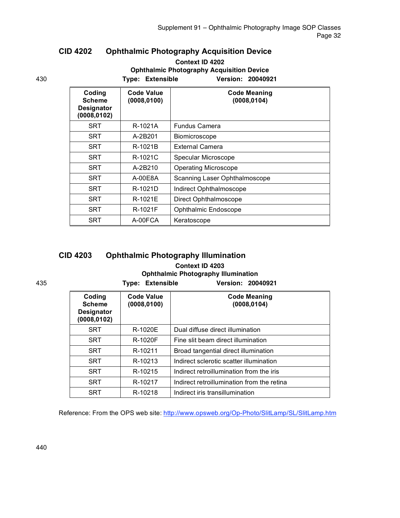### **CID 4202 Ophthalmic Photography Acquisition Device**

#### **Context ID 4202 Ophthalmic Photography Acquisition Device** 430 **Type: Extensible Version: 20040921**

| Coding<br><b>Scheme</b><br><b>Designator</b><br>(0008, 0102) | Code Value<br>(0008, 0100) | <b>Code Meaning</b><br>(0008, 0104) |
|--------------------------------------------------------------|----------------------------|-------------------------------------|
| <b>SRT</b>                                                   | R-1021A                    | <b>Fundus Camera</b>                |
| <b>SRT</b>                                                   | A-2B201                    | <b>Biomicroscope</b>                |
| <b>SRT</b>                                                   | R-1021B                    | <b>External Camera</b>              |
| <b>SRT</b>                                                   | R-1021C                    | Specular Microscope                 |
| <b>SRT</b>                                                   | A-2B210                    | <b>Operating Microscope</b>         |
| <b>SRT</b>                                                   | $A-00F8A$                  | Scanning Laser Ophthalmoscope       |
| <b>SRT</b>                                                   | R-1021D                    | Indirect Ophthalmoscope             |
| <b>SRT</b>                                                   | R-1021E                    | Direct Ophthalmoscope               |
| <b>SRT</b>                                                   | R-1021F                    | Ophthalmic Endoscope                |
| <b>SRT</b>                                                   | A-00FCA                    | Keratoscope                         |

# **CID 4203 Ophthalmic Photography Illumination**

### **Context ID 4203 Ophthalmic Photography Illumination**

#### 435 **Type: Extensible Version: 20040921 Coding Scheme Designator (0008,0102) Code Value (0008,0100) Code Meaning (0008,0104)** SRT | R-1020E | Dual diffuse direct illumination SRT | R-1020F | Fine slit beam direct illumination SRT | R-10211 | Broad tangential direct illumination SRT | R-10213 | Indirect sclerotic scatter illumination SRT | R-10215 | Indirect retroillumination from the iris SRT | R-10217 | Indirect retroillumination from the retina SRT | R-10218 | Indirect iris transillumination

Reference: From the OPS web site: http://www.opsweb.org/Op-Photo/SlitLamp/SL/SlitLamp.htm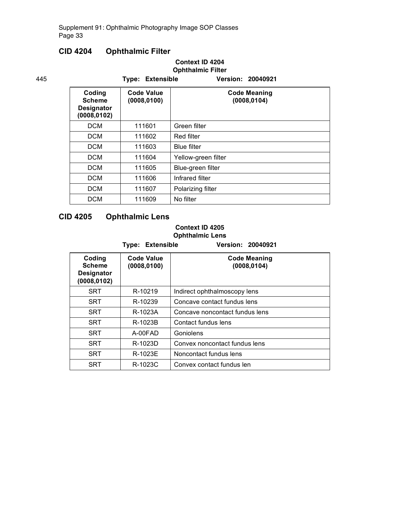### **CID 4204 Ophthalmic Filter**

### **Context ID 4204 Ophthalmic Filter**

| 445 |                                                              | <b>Type: Extensible</b>           | Version: 20040921                   |
|-----|--------------------------------------------------------------|-----------------------------------|-------------------------------------|
|     | Coding<br><b>Scheme</b><br><b>Designator</b><br>(0008, 0102) | <b>Code Value</b><br>(0008, 0100) | <b>Code Meaning</b><br>(0008, 0104) |
|     | <b>DCM</b>                                                   | 111601                            | Green filter                        |
|     | <b>DCM</b>                                                   | 111602                            | Red filter                          |
|     | <b>DCM</b>                                                   | 111603                            | <b>Blue filter</b>                  |
|     | <b>DCM</b>                                                   | 111604                            | Yellow-green filter                 |
|     | <b>DCM</b>                                                   | 111605                            | Blue-green filter                   |
|     | <b>DCM</b>                                                   | 111606                            | Infrared filter                     |
|     | <b>DCM</b>                                                   | 111607                            | Polarizing filter                   |
|     | <b>DCM</b>                                                   | 111609                            | No filter                           |

### **CID 4205 Ophthalmic Lens**

### **Context ID 4205**

**Ophthalmic Lens**

|                                                | <b>Type: Extensible</b>           | <b>Version: 20040921</b>            |
|------------------------------------------------|-----------------------------------|-------------------------------------|
| Coding<br>Scheme<br>Designator<br>(0008, 0102) | <b>Code Value</b><br>(0008, 0100) | <b>Code Meaning</b><br>(0008, 0104) |
| <b>SRT</b>                                     | R-10219                           | Indirect ophthalmoscopy lens        |
| <b>SRT</b>                                     | R-10239                           | Concave contact fundus lens         |
| <b>SRT</b>                                     | R-1023A                           | Concave noncontact fundus lens      |
| <b>SRT</b>                                     | R-1023B                           | Contact fundus lens                 |
| <b>SRT</b>                                     | A-00FAD                           | Goniolens                           |
| <b>SRT</b>                                     | R-1023D                           | Convex noncontact fundus lens       |
| <b>SRT</b>                                     | R-1023E                           | Noncontact fundus lens              |
| SRT                                            | R-1023C                           | Convex contact fundus len           |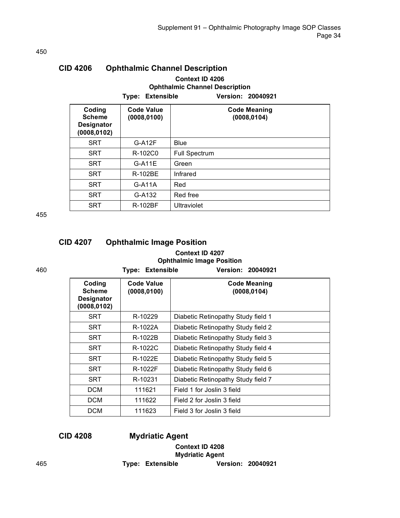| <b>CID 4206</b>                                              |                                   | <b>Ophthalmic Channel Description</b>                                         |
|--------------------------------------------------------------|-----------------------------------|-------------------------------------------------------------------------------|
|                                                              | Extensible<br>Type:               | Context ID 4206<br><b>Ophthalmic Channel Description</b><br>Version: 20040921 |
| Coding<br><b>Scheme</b><br><b>Designator</b><br>(0008, 0102) | <b>Code Value</b><br>(0008, 0100) | <b>Code Meaning</b><br>(0008, 0104)                                           |
| <b>SRT</b>                                                   | $G-A12F$                          | <b>Blue</b>                                                                   |
| <b>SRT</b>                                                   | R-102C0                           | <b>Full Spectrum</b>                                                          |
| <b>SRT</b>                                                   | $G-A11E$                          | Green                                                                         |
| <b>SRT</b>                                                   | R-102BE                           | Infrared                                                                      |
| <b>SRT</b>                                                   | $G-A11A$                          | Red                                                                           |
| SRT                                                          | G-A132                            | Red free                                                                      |
| <b>SRT</b>                                                   | <b>R-102BF</b>                    | Ultraviolet                                                                   |

455

| <b>CID 4207</b> | <b>Ophthalmic Image Position</b> |  |
|-----------------|----------------------------------|--|
|                 | Context ID 4207                  |  |
|                 | <b>Ophthalmic Image Position</b> |  |

460 **Type: Extensible Version: 20040921**

| Coding<br><b>Scheme</b><br><b>Designator</b><br>(0008, 0102) | <b>Code Value</b><br>(0008, 0100) | <b>Code Meaning</b><br>(0008, 0104) |
|--------------------------------------------------------------|-----------------------------------|-------------------------------------|
| <b>SRT</b>                                                   | R-10229                           | Diabetic Retinopathy Study field 1  |
| <b>SRT</b>                                                   | R-1022A                           | Diabetic Retinopathy Study field 2  |
| <b>SRT</b>                                                   | R-1022B                           | Diabetic Retinopathy Study field 3  |
| <b>SRT</b>                                                   | $R-1022C$                         | Diabetic Retinopathy Study field 4  |
| <b>SRT</b>                                                   | R-1022F                           | Diabetic Retinopathy Study field 5  |
| <b>SRT</b>                                                   | R-1022F                           | Diabetic Retinopathy Study field 6  |
| <b>SRT</b>                                                   | R-10231                           | Diabetic Retinopathy Study field 7  |
| <b>DCM</b>                                                   | 111621                            | Field 1 for Joslin 3 field          |
| <b>DCM</b>                                                   | 111622                            | Field 2 for Joslin 3 field          |
| <b>DCM</b>                                                   | 111623                            | Field 3 for Joslin 3 field          |
|                                                              |                                   |                                     |

**CID 4208 Mydriatic Agent**

### **Context ID 4208 Mydriatic Agent** 465 **Type: Extensible Version: 20040921**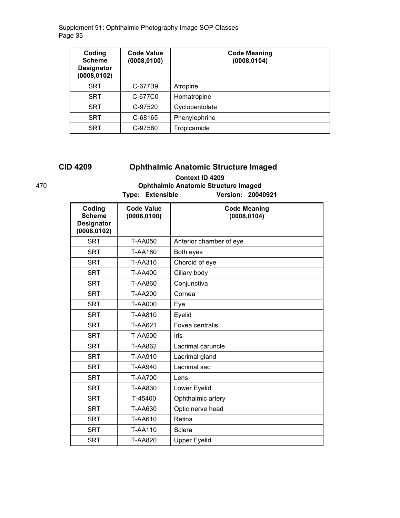| Coding<br><b>Scheme</b><br><b>Designator</b><br>(0008, 0102) | <b>Code Value</b><br>(0008, 0100) | <b>Code Meaning</b><br>(0008, 0104) |
|--------------------------------------------------------------|-----------------------------------|-------------------------------------|
| <b>SRT</b>                                                   | C-677B9                           | Atropine                            |
| <b>SRT</b>                                                   | C-677C0                           | Homatropine                         |
| <b>SRT</b>                                                   | C-97520                           | Cyclopentolate                      |
| <b>SRT</b>                                                   | C-68165                           | Phenylephrine                       |
| <b>SRT</b>                                                   | C-97580                           | Tropicamide                         |

# **CID 4209 Ophthalmic Anatomic Structure Imaged**

### **Context ID 4209** 470 **Ophthalmic Anatomic Structure Imaged Type: Extensible Version: 20040921**

| Coding<br><b>Scheme</b><br><b>Designator</b><br>(0008, 0102) | <b>Code Value</b><br>(0008, 0100) | <b>Code Meaning</b><br>(0008, 0104) |
|--------------------------------------------------------------|-----------------------------------|-------------------------------------|
| <b>SRT</b>                                                   | <b>T-AA050</b>                    | Anterior chamber of eye             |
| <b>SRT</b>                                                   | <b>T-AA180</b>                    | Both eyes                           |
| <b>SRT</b>                                                   | <b>T-AA310</b>                    | Choroid of eye                      |
| <b>SRT</b>                                                   | <b>T-AA400</b>                    | Ciliary body                        |
| <b>SRT</b>                                                   | <b>T-AA860</b>                    | Conjunctiva                         |
| <b>SRT</b>                                                   | T-AA200                           | Cornea                              |
| <b>SRT</b>                                                   | <b>T-AA000</b>                    | Eye                                 |
| <b>SRT</b>                                                   | <b>T-AA810</b>                    | Eyelid                              |
| <b>SRT</b>                                                   | T-AA621                           | Fovea centralis                     |
| <b>SRT</b>                                                   | <b>T-AA500</b>                    | Iris                                |
| <b>SRT</b>                                                   | <b>T-AA862</b>                    | Lacrimal caruncle                   |
| <b>SRT</b>                                                   | <b>T-AA910</b>                    | Lacrimal gland                      |
| <b>SRT</b>                                                   | T-AA940                           | Lacrimal sac                        |
| <b>SRT</b>                                                   | <b>T-AA700</b>                    | Lens                                |
| <b>SRT</b>                                                   | <b>T-AA830</b>                    | Lower Eyelid                        |
| <b>SRT</b>                                                   | T-45400                           | Ophthalmic artery                   |
| <b>SRT</b>                                                   | T-AA630                           | Optic nerve head                    |
| <b>SRT</b>                                                   | T-AA610                           | Retina                              |
| <b>SRT</b>                                                   | T-AA110                           | Sclera                              |
| <b>SRT</b>                                                   | <b>T-AA820</b>                    | <b>Upper Eyelid</b>                 |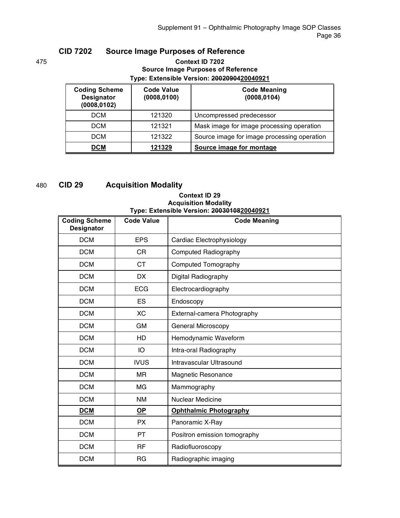### **CID 7202 Source Image Purposes of Reference**

#### 475 **Context ID 7202 Source Image Purposes of Reference Type: Extensible Version: 2002090420040921**

| <b>Coding Scheme</b><br>Designator<br>(0008, 0102) | <b>Code Value</b><br>(0008,0100) | <b>Code Meaning</b><br>(0008, 0104)         |
|----------------------------------------------------|----------------------------------|---------------------------------------------|
| <b>DCM</b>                                         | 121320                           | Uncompressed predecessor                    |
| <b>DCM</b>                                         | 121321                           | Mask image for image processing operation   |
| <b>DCM</b>                                         | 121322                           | Source image for image processing operation |
| DCM                                                | 121329                           | Source image for montage                    |

# 480 **CID 29 Acquisition Modality**

#### **Context ID 29 Acquisition Modality Type: Extensible Version: 2003010820040921**

| <b>Coding Scheme</b><br><b>Designator</b> | <b>Code Value</b> | <b>Code Meaning</b>           |
|-------------------------------------------|-------------------|-------------------------------|
| <b>DCM</b>                                | <b>EPS</b>        | Cardiac Electrophysiology     |
| <b>DCM</b>                                | <b>CR</b>         | Computed Radiography          |
| <b>DCM</b>                                | <b>CT</b>         | Computed Tomography           |
| <b>DCM</b>                                | <b>DX</b>         | Digital Radiography           |
| <b>DCM</b>                                | <b>ECG</b>        | Electrocardiography           |
| <b>DCM</b>                                | ES                | Endoscopy                     |
| <b>DCM</b>                                | XC                | External-camera Photography   |
| <b>DCM</b>                                | <b>GM</b>         | General Microscopy            |
| <b>DCM</b>                                | HD                | Hemodynamic Waveform          |
| <b>DCM</b>                                | IO                | Intra-oral Radiography        |
| <b>DCM</b>                                | <b>IVUS</b>       | Intravascular Ultrasound      |
| <b>DCM</b>                                | <b>MR</b>         | <b>Magnetic Resonance</b>     |
| <b>DCM</b>                                | MG                | Mammography                   |
| <b>DCM</b>                                | <b>NM</b>         | <b>Nuclear Medicine</b>       |
| <b>DCM</b>                                | <b>OP</b>         | <b>Ophthalmic Photography</b> |
| <b>DCM</b>                                | <b>PX</b>         | Panoramic X-Ray               |
| <b>DCM</b>                                | PT                | Positron emission tomography  |
| <b>DCM</b>                                | RF                | Radiofluoroscopy              |
| <b>DCM</b>                                | <b>RG</b>         | Radiographic imaging          |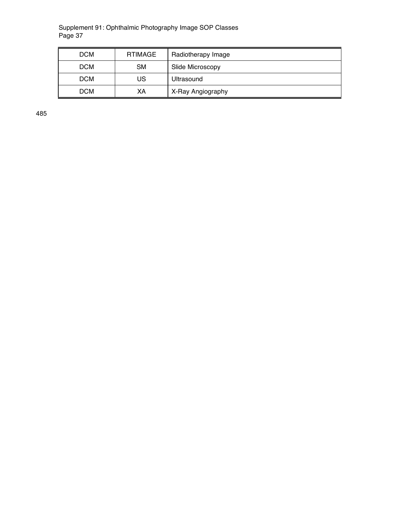| <b>DCM</b> | RTIMAGE   | Radiotherapy Image |
|------------|-----------|--------------------|
| <b>DCM</b> | <b>SM</b> | Slide Microscopy   |
| <b>DCM</b> | US        | Ultrasound         |
| <b>DCM</b> | XА        | X-Ray Angiography  |

485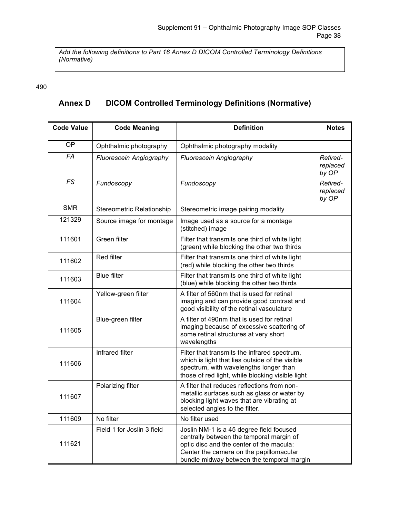*Add the following definitions to Part 16 Annex D DICOM Controlled Terminology Definitions (Normative)*

#### 490

# **Annex D DICOM Controlled Terminology Definitions (Normative)**

| <b>Code Value</b> | <b>Code Meaning</b>            | <b>Definition</b>                                                                                                                                                                                                        | <b>Notes</b>                  |
|-------------------|--------------------------------|--------------------------------------------------------------------------------------------------------------------------------------------------------------------------------------------------------------------------|-------------------------------|
| OP                | Ophthalmic photography         | Ophthalmic photography modality                                                                                                                                                                                          |                               |
| $\overline{FA}$   | <b>Fluorescein Angiography</b> | Fluorescein Angiography                                                                                                                                                                                                  | Retired-<br>replaced<br>by OP |
| FS                | Fundoscopy                     | Fundoscopy                                                                                                                                                                                                               | Retired-<br>replaced<br>by OP |
| <b>SMR</b>        | Stereometric Relationship      | Stereometric image pairing modality                                                                                                                                                                                      |                               |
| 121329            | Source image for montage       | Image used as a source for a montage<br>(stitched) image                                                                                                                                                                 |                               |
| 111601            | Green filter                   | Filter that transmits one third of white light<br>(green) while blocking the other two thirds                                                                                                                            |                               |
| 111602            | <b>Red filter</b>              | Filter that transmits one third of white light<br>(red) while blocking the other two thirds                                                                                                                              |                               |
| 111603            | <b>Blue filter</b>             | Filter that transmits one third of white light<br>(blue) while blocking the other two thirds                                                                                                                             |                               |
| 111604            | Yellow-green filter            | A filter of 560nm that is used for retinal<br>imaging and can provide good contrast and<br>good visibility of the retinal vasculature                                                                                    |                               |
| 111605            | Blue-green filter              | A filter of 490nm that is used for retinal<br>imaging because of excessive scattering of<br>some retinal structures at very short<br>wavelengths                                                                         |                               |
| 111606            | Infrared filter                | Filter that transmits the infrared spectrum,<br>which is light that lies outside of the visible<br>spectrum, with wavelengths longer than<br>those of red light, while blocking visible light                            |                               |
| 111607            | Polarizing filter              | A filter that reduces reflections from non-<br>metallic surfaces such as glass or water by<br>blocking light waves that are vibrating at<br>selected angles to the filter.                                               |                               |
| 111609            | No filter                      | No filter used                                                                                                                                                                                                           |                               |
| 111621            | Field 1 for Joslin 3 field     | Joslin NM-1 is a 45 degree field focused<br>centrally between the temporal margin of<br>optic disc and the center of the macula:<br>Center the camera on the papillomacular<br>bundle midway between the temporal margin |                               |